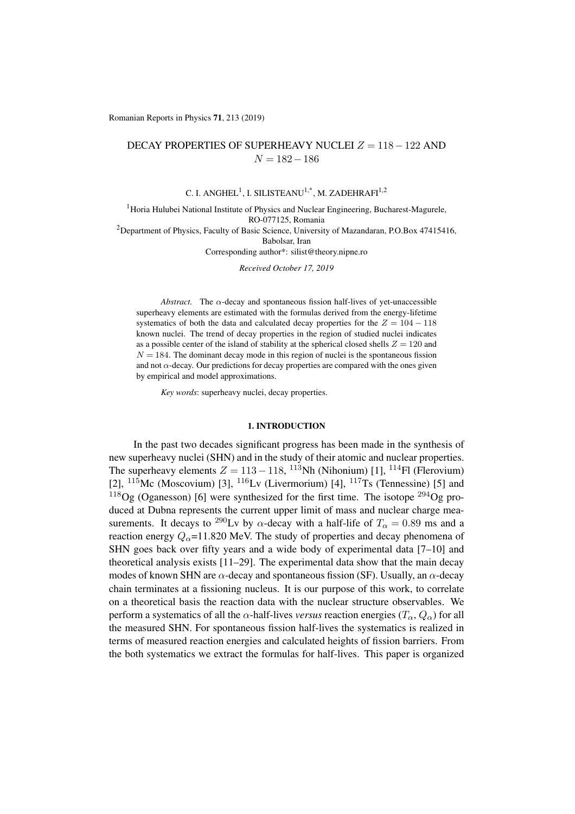Romanian Reports in Physics 71, 213 (2019)

## DECAY PROPERTIES OF SUPERHEAVY NUCLEI  $Z = 118 - 122$  AND  $N = 182 - 186$

# C. I. ANGHEL<sup>1</sup>, I. SILISTEANU<sup>1,\*</sup>, M. ZADEHRAFI<sup>1,2</sup>

<sup>1</sup> Horia Hulubei National Institute of Physics and Nuclear Engineering, Bucharest-Magurele, RO-077125, Romania <sup>2</sup>Department of Physics, Faculty of Basic Science, University of Mazandaran, P.O.Box 47415416, Babolsar, Iran Corresponding author\*: silist@theory.nipne.ro

*Received October 17, 2019*

*Abstract.* The  $\alpha$ -decay and spontaneous fission half-lives of yet-unaccessible superheavy elements are estimated with the formulas derived from the energy-lifetime systematics of both the data and calculated decay properties for the  $Z = 104 - 118$ known nuclei. The trend of decay properties in the region of studied nuclei indicates as a possible center of the island of stability at the spherical closed shells  $Z = 120$  and  $N = 184$ . The dominant decay mode in this region of nuclei is the spontaneous fission and not  $\alpha$ -decay. Our predictions for decay properties are compared with the ones given by empirical and model approximations.

*Key words*: superheavy nuclei, decay properties.

#### 1. INTRODUCTION

In the past two decades significant progress has been made in the synthesis of new superheavy nuclei (SHN) and in the study of their atomic and nuclear properties. The superheavy elements  $Z = 113 - 118$ , <sup>113</sup>Nh (Nihonium) [1], <sup>114</sup>Fl (Flerovium) [2],  $^{115}$ Mc (Moscovium) [3],  $^{116}$ Lv (Livermorium) [4],  $^{117}$ Ts (Tennessine) [5] and  $^{118}$ Og (Oganesson) [6] were synthesized for the first time. The isotope  $^{294}$ Og produced at Dubna represents the current upper limit of mass and nuclear charge measurements. It decays to <sup>290</sup>Lv by  $\alpha$ -decay with a half-life of  $T_{\alpha} = 0.89$  ms and a reaction energy  $Q_{\alpha}$ =11.820 MeV. The study of properties and decay phenomena of SHN goes back over fifty years and a wide body of experimental data  $[7-10]$  and theoretical analysis exists [11–29]. The experimental data show that the main decay modes of known SHN are  $\alpha$ -decay and spontaneous fission (SF). Usually, an  $\alpha$ -decay chain terminates at a fissioning nucleus. It is our purpose of this work, to correlate on a theoretical basis the reaction data with the nuclear structure observables. We perform a systematics of all the  $\alpha$ -half-lives *versus* reaction energies ( $T_{\alpha}$ ,  $Q_{\alpha}$ ) for all the measured SHN. For spontaneous fission half-lives the systematics is realized in terms of measured reaction energies and calculated heights of fission barriers. From the both systematics we extract the formulas for half-lives. This paper is organized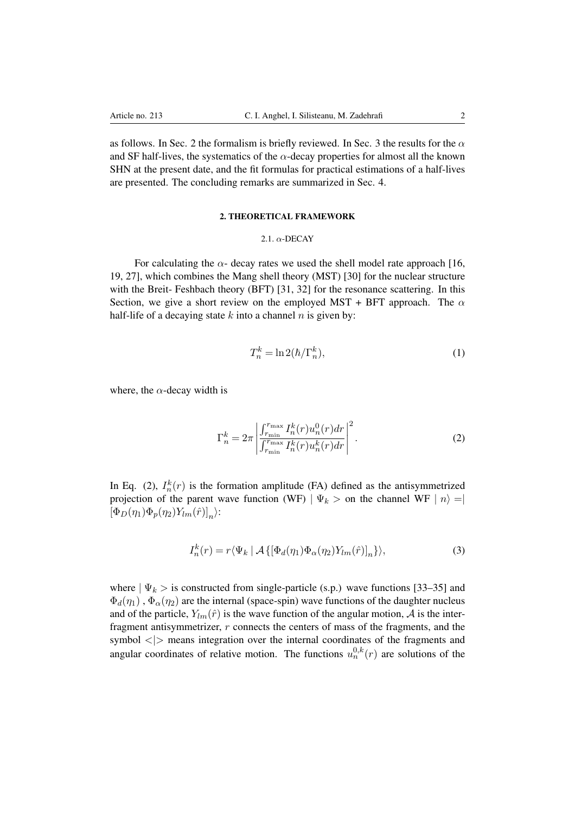as follows. In Sec. 2 the formalism is briefly reviewed. In Sec. 3 the results for the  $\alpha$ and SF half-lives, the systematics of the  $\alpha$ -decay properties for almost all the known SHN at the present date, and the fit formulas for practical estimations of a half-lives are presented. The concluding remarks are summarized in Sec. 4.

### 2. THEORETICAL FRAMEWORK

### 2.1.  $\alpha$ -DECAY

For calculating the  $\alpha$ - decay rates we used the shell model rate approach [16, 19, 27], which combines the Mang shell theory (MST) [30] for the nuclear structure with the Breit-Feshbach theory (BFT) [31, 32] for the resonance scattering. In this Section, we give a short review on the employed MST + BFT approach. The  $\alpha$ half-life of a decaying state *k* into a channel *n* is given by:

$$
T_n^k = \ln 2(\hbar/\Gamma_n^k),\tag{1}
$$

where, the  $\alpha$ -decay width is

$$
\Gamma_n^k = 2\pi \left| \frac{\int_{r_{\min}}^{r_{\max}} I_n^k(r) u_n^0(r) dr}{\int_{r_{\min}}^{r_{\max}} I_n^k(r) u_n^k(r) dr} \right|^2.
$$
 (2)

In Eq. (2),  $I_n^k(r)$  is the formation amplitude (FA) defined as the antisymmetrized projection of the parent wave function (WF)  $|\Psi_k\rangle$  on the channel WF  $|n\rangle = |$  $[\Phi_D(\eta_1)\Phi_p(\eta_2)Y_{lm}(\hat{r})]_n$ :

$$
I_n^k(r) = r \langle \Psi_k | \mathcal{A} \{ [\Phi_d(\eta_1) \Phi_\alpha(\eta_2) Y_{lm}(\hat{r})]_n \} \rangle, \tag{3}
$$

where  $|\Psi_k\rangle$  is constructed from single-particle (s.p.) wave functions [33–35] and  $\Phi_d(\eta_1)$ ,  $\Phi_\alpha(\eta_2)$  are the internal (space-spin) wave functions of the daughter nucleus and of the particle,  $Y_{lm}(\hat{r})$  is the wave function of the angular motion,  $\hat{A}$  is the interfragment antisymmetrizer, *r* connects the centers of mass of the fragments, and the symbol *<|>* means integration over the internal coordinates of the fragments and angular coordinates of relative motion. The functions  $u_n^{0,k}(r)$  are solutions of the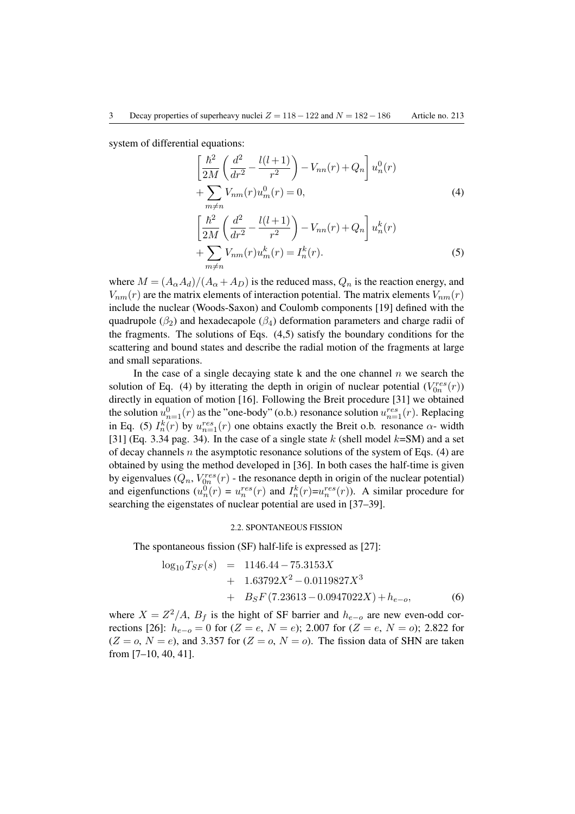system of differential equations:

$$
\left[\frac{\hbar^2}{2M} \left(\frac{d^2}{dr^2} - \frac{l(l+1)}{r^2}\right) - V_{nn}(r) + Q_n\right] u_n^0(r) + \sum_{m \neq n} V_{nm}(r) u_m^0(r) = 0,
$$
\n(4)

$$
\left[\frac{\hbar^2}{2M} \left(\frac{d^2}{dr^2} - \frac{l(l+1)}{r^2}\right) - V_{nn}(r) + Q_n\right] u_n^k(r) + \sum_{m \neq n} V_{nm}(r) u_m^k(r) = I_n^k(r).
$$
\n(5)

where  $M = (A_{\alpha}A_d)/(A_{\alpha}+A_D)$  is the reduced mass,  $Q_n$  is the reaction energy, and  $V_{nm}(r)$  are the matrix elements of interaction potential. The matrix elements  $V_{nm}(r)$ include the nuclear (Woods-Saxon) and Coulomb components [19] defined with the quadrupole ( $\beta_2$ ) and hexadecapole ( $\beta_4$ ) deformation parameters and charge radii of the fragments. The solutions of Eqs. (4,5) satisfy the boundary conditions for the scattering and bound states and describe the radial motion of the fragments at large and small separations.

In the case of a single decaying state k and the one channel *n* we search the solution of Eq. (4) by itterating the depth in origin of nuclear potential  $(V_{0n}^{res}(r))$ directly in equation of motion [16]. Following the Breit procedure [31] we obtained the solution  $u_{n=1}^0(r)$  as the "one-body" (o.b.) resonance solution  $u_{n=1}^{res}(r)$ . Replacing in Eq. (5)  $I_n^k(r)$  by  $u_{n=1}^{res}(r)$  one obtains exactly the Breit o.b. resonance  $\alpha$ - width [31] (Eq. 3.34 pag. 34). In the case of a single state *k* (shell model *k*=SM) and a set of decay channels  $n$  the asymptotic resonance solutions of the system of Eqs. (4) are obtained by using the method developed in [36]. In both cases the half-time is given by eigenvalues  $(Q_n, V_{0n}^{res}(r))$  - the resonance depth in origin of the nuclear potential) and eigenfunctions  $(u_n^0(r) = u_n^{res}(r)$  and  $I_n^k(r) = u_n^{res}(r)$ ). A similar procedure for searching the eigenstates of nuclear potential are used in [37–39].

### 2.2. SPONTANEOUS FISSION

The spontaneous fission (SF) half-life is expressed as [27]:

$$
\log_{10} T_{SF}(s) = 1146.44 - 75.3153X \n+ 1.63792X^2 - 0.0119827X^3 \n+ B_SF(7.23613 - 0.0947022X) + h_{e-o},
$$
\n(6)

where  $X = Z^2/A$ ,  $B_f$  is the hight of SF barrier and  $h_{e-o}$  are new even-odd corrections [26]:  $h_{e-o} = 0$  for (*Z* = *e*, *N* = *e*); 2.007 for (*Z* = *e*, *N* = *o*); 2.822 for  $(Z = 0, N = e)$ , and 3.357 for  $(Z = 0, N = 0)$ . The fission data of SHN are taken from [7–10, 40, 41].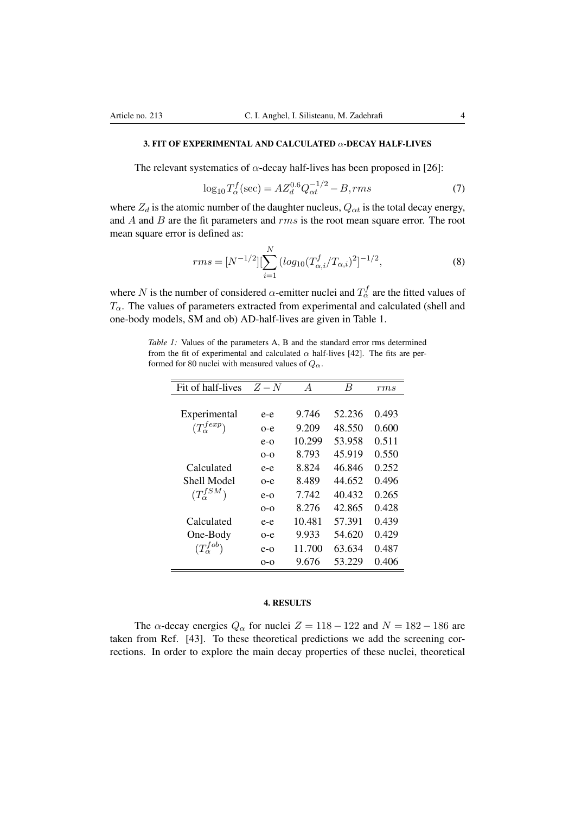The relevant systematics of  $\alpha$ -decay half-lives has been proposed in [26]:

$$
\log_{10} T_{\alpha}^{f}(\text{sec}) = AZ_{d}^{0.6} Q_{\alpha t}^{-1/2} - B, rms \tag{7}
$$

where  $Z_d$  is the atomic number of the daughter nucleus,  $Q_{\alpha t}$  is the total decay energy, and *A* and *B* are the fit parameters and *rms* is the root mean square error. The root mean square error is defined as:

$$
rms = [N^{-1/2}][\sum_{i=1}^{N} (log_{10}(T_{\alpha,i}^{f}/T_{\alpha,i})^{2}]^{-1/2}, \qquad (8)
$$

where *N* is the number of considered  $\alpha$ -emitter nuclei and  $T_{\alpha}^{f}$  are the fitted values of  $T_{\alpha}$ . The values of parameters extracted from experimental and calculated (shell and one-body models, SM and ob) AD-half-lives are given in Table 1.

*Table 1:* Values of the parameters A, B and the standard error rms determined from the fit of experimental and calculated  $\alpha$  half-lives [42]. The fits are performed for 80 nuclei with measured values of  $Q_{\alpha}$ .

| Fit of half-lives     | $Z-N$   | $\overline{A}$ | B      | rms   |
|-----------------------|---------|----------------|--------|-------|
|                       |         |                |        |       |
| Experimental          | e-e     | 9.746          | 52.236 | 0.493 |
| $(T_{\alpha}^{fexp})$ | $O - e$ | 9.209          | 48.550 | 0.600 |
|                       | $e$ -0  | 10.299         | 53.958 | 0.511 |
|                       | $O-O$   | 8.793          | 45.919 | 0.550 |
| Calculated            | $e-e$   | 8.824          | 46.846 | 0.252 |
| Shell Model           | $0 - e$ | 8.489          | 44.652 | 0.496 |
| $(T_{\alpha}^{fSM})$  | $e$ -0  | 7.742          | 40.432 | 0.265 |
|                       | $O-O$   | 8.276          | 42.865 | 0.428 |
| Calculated            | $e-e$   | 10.481         | 57.391 | 0.439 |
| One-Body              | o-e     | 9.933          | 54.620 | 0.429 |
| $(T_{\alpha}^{fob})$  | $e$ -0  | 11.700         | 63.634 | 0.487 |
|                       | $O-O$   | 9.676          | 53.229 | 0.406 |

### 4. RESULTS

The  $\alpha$ -decay energies  $Q_{\alpha}$  for nuclei  $Z = 118 - 122$  and  $N = 182 - 186$  are taken from Ref. [43]. To these theoretical predictions we add the screening corrections. In order to explore the main decay properties of these nuclei, theoretical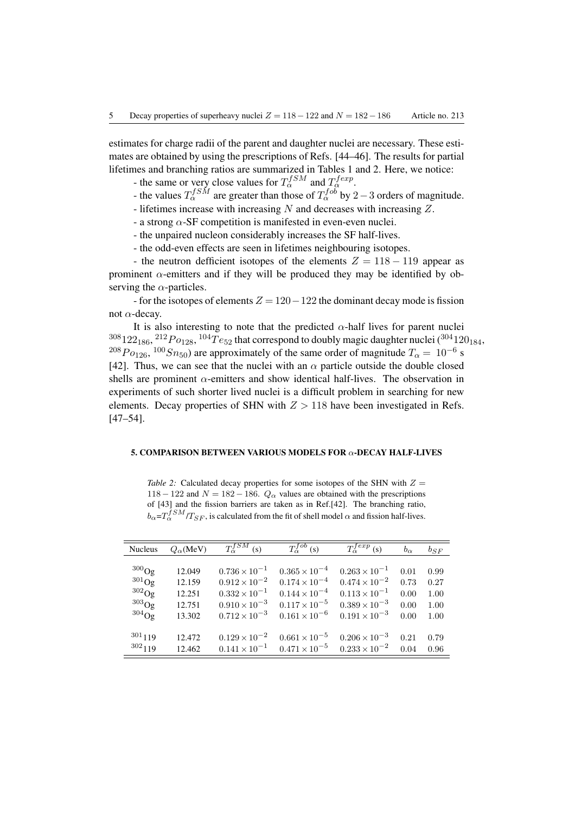estimates for charge radii of the parent and daughter nuclei are necessary. These estimates are obtained by using the prescriptions of Refs. [44–46]. The results for partial lifetimes and branching ratios are summarized in Tables 1 and 2. Here, we notice:

- the same or very close values for  $T_{\alpha}^{fSM}$  and  $T_{\alpha}^{fexp}$ .

- the values  $T_{\alpha}^{fSM}$  are greater than those of  $T_{\alpha}^{fob}$  by 2 3 orders of magnitude.
- lifetimes increase with increasing *N* and decreases with increasing *Z*.
- a strong  $\alpha$ -SF competition is manifested in even-even nuclei.
- the unpaired nucleon considerably increases the SF half-lives.
- the odd-even effects are seen in lifetimes neighbouring isotopes.

- the neutron defficient isotopes of the elements  $Z = 118 - 119$  appear as prominent  $\alpha$ -emitters and if they will be produced they may be identified by observing the  $\alpha$ -particles.

- for the isotopes of elements  $Z = 120 - 122$  the dominant decay mode is fission not  $\alpha$ -decay.

It is also interesting to note that the predicted  $\alpha$ -half lives for parent nuclei <sup>308</sup>122<sub>186</sub>, <sup>212</sup>*Po*<sub>128</sub>, <sup>104</sup>*Te*<sub>52</sub> that correspond to doubly magic daughter nuclei (<sup>304</sup>120<sub>184</sub>, <sup>208</sup>*P*<sub>0126</sub>, <sup>100</sup>*Sn*<sub>50</sub>) are approximately of the same order of magnitude  $T_\alpha = 10^{-6}$  s [42]. Thus, we can see that the nuclei with an  $\alpha$  particle outside the double closed shells are prominent  $\alpha$ -emitters and show identical half-lives. The observation in experiments of such shorter lived nuclei is a difficult problem in searching for new elements. Decay properties of SHN with  $Z > 118$  have been investigated in Refs. [47–54].

### 5. COMPARISON BETWEEN VARIOUS MODELS FOR  $\alpha$ -DECAY HALF-LIVES

*Table 2:* Calculated decay properties for some isotopes of the SHN with  $Z =$ 118 – 122 and  $N = 182 - 186$ .  $Q_{\alpha}$  values are obtained with the prescriptions of [43] and the fission barriers are taken as in Ref.[42]. The branching ratio,  $b_{\alpha} = T_{\alpha}^{fSM}/T_{SF}$ , is calculated from the fit of shell model  $\alpha$  and fission half-lives.

| <b>Nucleus</b> | $Q_{\alpha}$ (MeV) | $T_{\alpha}^{fSM}$ (s) | $\overline{T_{\alpha}^{fob}(s)}$ | $T_{\alpha}^{fexp}$ (s) | $b_{\alpha}$ | $b_{SF}$ |
|----------------|--------------------|------------------------|----------------------------------|-------------------------|--------------|----------|
|                |                    |                        |                                  |                         |              |          |
| $300$ Og       | 12.049             | $0.736 \times 10^{-1}$ | $0.365 \times 10^{-4}$           | $0.263 \times 10^{-1}$  | 0.01         | 0.99     |
| $^{301}$ Og    | 12.159             | $0.912 \times 10^{-2}$ | $0.174 \times 10^{-4}$           | $0.474 \times 10^{-2}$  | 0.73         | 0.27     |
| $302$ Og       | 12.251             | $0.332 \times 10^{-1}$ | $0.144 \times 10^{-4}$           | $0.113 \times 10^{-1}$  | 0.00         | 1.00     |
| $303$ Og       | 12.751             | $0.910 \times 10^{-3}$ | $0.117 \times 10^{-5}$           | $0.389 \times 10^{-3}$  | 0.00         | 1.00     |
| $304$ Og       | 13.302             | $0.712 \times 10^{-3}$ | $0.161 \times 10^{-6}$           | $0.191 \times 10^{-3}$  | 0.00         | 1.00     |
|                |                    |                        |                                  |                         |              |          |
| $301_{119}$    | 12.472             | $0.129 \times 10^{-2}$ | $0.661 \times 10^{-5}$           | $0.206 \times 10^{-3}$  | 0.21         | 0.79     |
| $302_{119}$    | 12.462             | $0.141 \times 10^{-1}$ | $0.471 \times 10^{-5}$           | $0.233 \times 10^{-2}$  | 0.04         | 0.96     |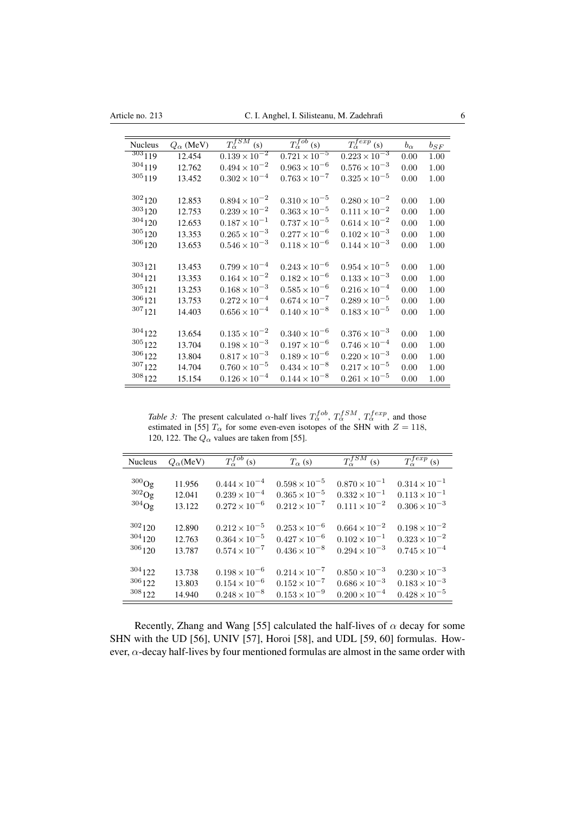| <b>Nucleus</b> | $Q_{\alpha}$ (MeV) | $T_{\alpha}^{fSM}$ (s)            | $T_{\alpha}^{fob}$ (s) | $T_{\alpha}^{fexp}$ (s) | $b_{\alpha}$ | $b_{SF}$ |
|----------------|--------------------|-----------------------------------|------------------------|-------------------------|--------------|----------|
| $303_{119}$    | 12.454             | $0.\overline{139 \times 10^{-2}}$ | $0.721 \times 10^{-5}$ | $0.223 \times 10^{-3}$  | 0.00         | 1.00     |
| 304119         | 12.762             | $0.494 \times 10^{-2}$            | $0.963\times10^{-6}$   | $0.576 \times 10^{-3}$  | 0.00         | 1.00     |
| $305_{119}$    | 13.452             | $0.302 \times 10^{-4}$            | $0.763 \times 10^{-7}$ | $0.325 \times 10^{-5}$  | 0.00         | 1.00     |
|                |                    |                                   |                        |                         |              |          |
| $302_{120}$    | 12.853             | $0.894 \times 10^{-2}$            | $0.310 \times 10^{-5}$ | $0.280 \times 10^{-2}$  | 0.00         | 1.00     |
| $303_{120}$    | 12.753             | $0.239 \times 10^{-2}$            | $0.363 \times 10^{-5}$ | $0.111 \times 10^{-2}$  | 0.00         | 1.00     |
| $304_{120}$    | 12.653             | $0.187 \times 10^{-1}$            | $0.737 \times 10^{-5}$ | $0.614 \times 10^{-2}$  | 0.00         | 1.00     |
| $305_{120}$    | 13.353             | $0.265 \times 10^{-3}$            | $0.277 \times 10^{-6}$ | $0.102 \times 10^{-3}$  | 0.00         | 1.00     |
| $306_{120}$    | 13.653             | $0.546 \times 10^{-3}$            | $0.118 \times 10^{-6}$ | $0.144 \times 10^{-3}$  | 0.00         | 1.00     |
|                |                    |                                   |                        |                         |              |          |
| $303_{121}$    | 13.453             | $0.799 \times 10^{-4}$            | $0.243 \times 10^{-6}$ | $0.954 \times 10^{-5}$  | 0.00         | 1.00     |
| 304121         | 13.353             | $0.164 \times 10^{-2}$            | $0.182 \times 10^{-6}$ | $0.133 \times 10^{-3}$  | 0.00         | 1.00     |
| $305_{121}$    | 13.253             | $0.168 \times 10^{-3}$            | $0.585 \times 10^{-6}$ | $0.216 \times 10^{-4}$  | 0.00         | 1.00     |
| $306_{121}$    | 13.753             | $0.272 \times 10^{-4}$            | $0.674 \times 10^{-7}$ | $0.289 \times 10^{-5}$  | 0.00         | 1.00     |
| $307_{121}$    | 14.403             | $0.656 \times 10^{-4}$            | $0.140 \times 10^{-8}$ | $0.183 \times 10^{-5}$  | 0.00         | 1.00     |
|                |                    |                                   |                        |                         |              |          |
| $304_{122}$    | 13.654             | $0.135 \times 10^{-2}$            | $0.340 \times 10^{-6}$ | $0.376 \times 10^{-3}$  | 0.00         | 1.00     |
| $305_{122}$    | 13.704             | $0.198 \times 10^{-3}$            | $0.197 \times 10^{-6}$ | $0.746 \times 10^{-4}$  | 0.00         | 1.00     |
| $306_{122}$    | 13.804             | $0.817 \times 10^{-3}$            | $0.189 \times 10^{-6}$ | $0.220 \times 10^{-3}$  | 0.00         | 1.00     |
| $307_{122}$    | 14.704             | $0.760 \times 10^{-5}$            | $0.434 \times 10^{-8}$ | $0.217 \times 10^{-5}$  | 0.00         | 1.00     |
| $308_{122}$    | 15.154             | $0.126 \times 10^{-4}$            | $0.144 \times 10^{-8}$ | $0.261 \times 10^{-5}$  | 0.00         | 1.00     |

*Table 3:* The present calculated  $\alpha$ -half lives  $T_{\alpha}^{fob}$ ,  $T_{\alpha}^{fSM}$ ,  $T_{\alpha}^{fexp}$ , and those estimated in [55]  $T_\alpha$  for some even-even isotopes of the SHN with  $Z = 118$ , 120, 122. The  $Q_{\alpha}$  values are taken from [55].

| <b>Nucleus</b> | $Q_{\alpha}$ (MeV) | $T_{\alpha}^{fob}$ (s) | $T_{\alpha}$ (s)       | $T_{\alpha}^{fSM}$ (s) | $\overline{T_{\alpha}^{fexp}\left(s\right)}$ |
|----------------|--------------------|------------------------|------------------------|------------------------|----------------------------------------------|
| $^{300}$ Og    |                    | $0.444 \times 10^{-4}$ | $0.598 \times 10^{-5}$ | $0.870 \times 10^{-1}$ | $0.314 \times 10^{-1}$                       |
| $^{302}$ Og    | 11.956             | $0.239 \times 10^{-4}$ | $0.365 \times 10^{-5}$ | $0.332 \times 10^{-1}$ | $0.113 \times 10^{-1}$                       |
|                | 12.041             |                        |                        |                        |                                              |
| $304$ Og       | 13.122             | $0.272 \times 10^{-6}$ | $0.212 \times 10^{-7}$ | $0.111 \times 10^{-2}$ | $0.306 \times 10^{-3}$                       |
|                |                    |                        |                        |                        |                                              |
| $302_{120}$    | 12.890             | $0.212 \times 10^{-5}$ | $0.253 \times 10^{-6}$ | $0.664 \times 10^{-2}$ | $0.198 \times 10^{-2}$                       |
| $304_{120}$    | 12.763             | $0.364 \times 10^{-5}$ | $0.427 \times 10^{-6}$ | $0.102 \times 10^{-1}$ | $0.323 \times 10^{-2}$                       |
| $306_{120}$    | 13.787             | $0.574 \times 10^{-7}$ | $0.436 \times 10^{-8}$ | $0.294 \times 10^{-3}$ | $0.745 \times 10^{-4}$                       |
|                |                    |                        |                        |                        |                                              |
| $304_{122}$    | 13.738             | $0.198 \times 10^{-6}$ | $0.214 \times 10^{-7}$ | $0.850 \times 10^{-3}$ | $0.230 \times 10^{-3}$                       |
| $306_{122}$    | 13.803             | $0.154 \times 10^{-6}$ | $0.152 \times 10^{-7}$ | $0.686 \times 10^{-3}$ | $0.183 \times 10^{-3}$                       |
| $308_{122}$    | 14.940             | $0.248 \times 10^{-8}$ | $0.153 \times 10^{-9}$ | $0.200 \times 10^{-4}$ | $0.428 \times 10^{-5}$                       |

Recently, Zhang and Wang [55] calculated the half-lives of  $\alpha$  decay for some SHN with the UD [56], UNIV [57], Horoi [58], and UDL [59, 60] formulas. However,  $\alpha$ -decay half-lives by four mentioned formulas are almost in the same order with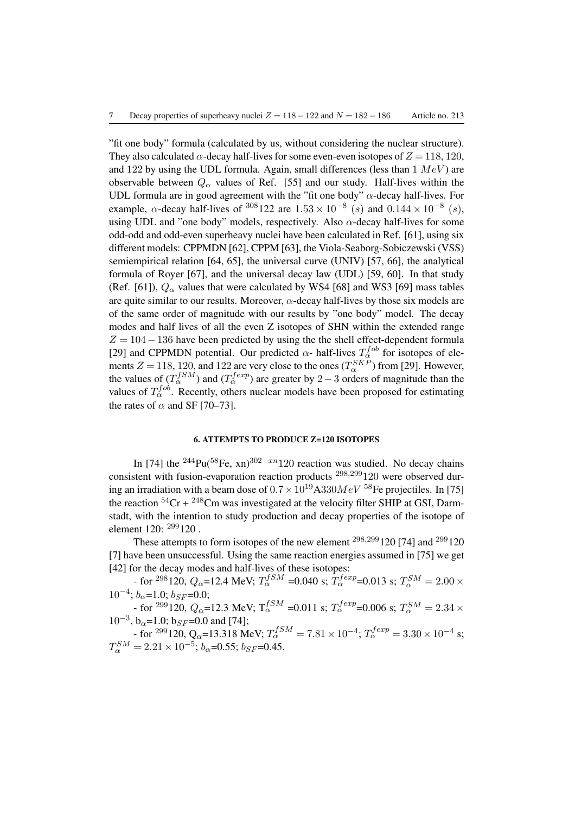"fit one body" formula (calculated by us, without considering the nuclear structure). They also calculated  $\alpha$ -decay half-lives for some even-even isotopes of  $Z = 118, 120$ , and 122 by using the UDL formula. Again, small differences (less than 1 *MeV* ) are observable between  $Q_{\alpha}$  values of Ref. [55] and our study. Half-lives within the UDL formula are in good agreement with the "fit one body"  $\alpha$ -decay half-lives. For example,  $\alpha$ -decay half-lives of <sup>308</sup>122 are  $1.53 \times 10^{-8}$  (*s*) and  $0.144 \times 10^{-8}$  (*s*), using UDL and "one body" models, respectively. Also  $\alpha$ -decay half-lives for some odd-odd and odd-even superheavy nuclei have been calculated in Ref. [61], using six different models: CPPMDN [62], CPPM [63], the Viola-Seaborg-Sobiczewski (VSS) semiempirical relation [64, 65], the universal curve (UNIV) [57, 66], the analytical formula of Royer [67], and the universal decay law (UDL) [59, 60]. In that study (Ref. [61]),  $Q_{\alpha}$  values that were calculated by WS4 [68] and WS3 [69] mass tables are quite similar to our results. Moreover,  $\alpha$ -decay half-lives by those six models are of the same order of magnitude with our results by "one body" model. The decay modes and half lives of all the even Z isotopes of SHN within the extended range  $Z = 104 - 136$  have been predicted by using the the shell effect-dependent formula [29] and CPPMDN potential. Our predicted  $\alpha$ - half-lives  $T_{\alpha}^{fob}$  for isotopes of elements  $Z = 118, 120,$  and 122 are very close to the ones  $(T_\alpha^{SKP})$  from [29]. However, the values of  $(T_\alpha^{fSM})$  and  $(T_\alpha^{fexp})$  are greater by 2 – 3 orders of magnitude than the values of  $T_{\alpha}^{job}$ . Recently, others nuclear models have been proposed for estimating the rates of  $\alpha$  and SF [70–73].

### 6. ATTEMPTS TO PRODUCE Z=120 ISOTOPES

In [74] the <sup>244</sup>Pu(<sup>58</sup>Fe, xn)<sup>302-xn</sup>120 reaction was studied. No decay chains consistent with fusion-evaporation reaction products <sup>298</sup>*,*299120 were observed during an irradiation with a beam dose of  $0.7 \times 10^{19}$ A330*MeV* <sup>58</sup>Fe projectiles. In [75] the reaction  $54Cr + 248Cm$  was investigated at the velocity filter SHIP at GSI, Darmstadt, with the intention to study production and decay properties of the isotope of element 120: <sup>299</sup>120.

These attempts to form isotopes of the new element <sup>298,299</sup>120 [74] and <sup>299</sup>120 [7] have been unsuccessful. Using the same reaction energies assumed in [75] we get [42] for the decay modes and half-lives of these isotopes:

 $-$  for <sup>298</sup>120,  $Q_{\alpha}$ =12.4 MeV;  $T_{\alpha}^{fSM}$  =0.040 s;  $T_{\alpha}^{fexp}$ =0.013 s;  $T_{\alpha}^{SM}$  = 2.00  $\times$  $10^{-4}$ ;  $b_{\alpha}$ =1.0;  $b_{SF}$ =0.0;

 $-$  for <sup>299</sup>120,  $Q_{\alpha}$ =12.3 MeV;  $T_{\alpha}^{fSM}$  =0.011 s;  $T_{\alpha}^{fexp}$ =0.006 s;  $T_{\alpha}^{SM}$  = 2.34  $\times$  $10^{-3}$ ,  $b_{\alpha}=1.0$ ;  $b_{SF}=0.0$  and [74];

 $-$  for <sup>299</sup>120, Q<sub> $\alpha$ </sub>=13.318 MeV;  $T_{\alpha}^{fSM} = 7.81 \times 10^{-4}$ ;  $T_{\alpha}^{fexp} = 3.30 \times 10^{-4}$  s;  $T_\alpha^{SM} = 2.21 \times 10^{-5}$ ; *b*<sub> $\alpha$ </sub>=0.55; *b*<sub>SF</sub>=0.45.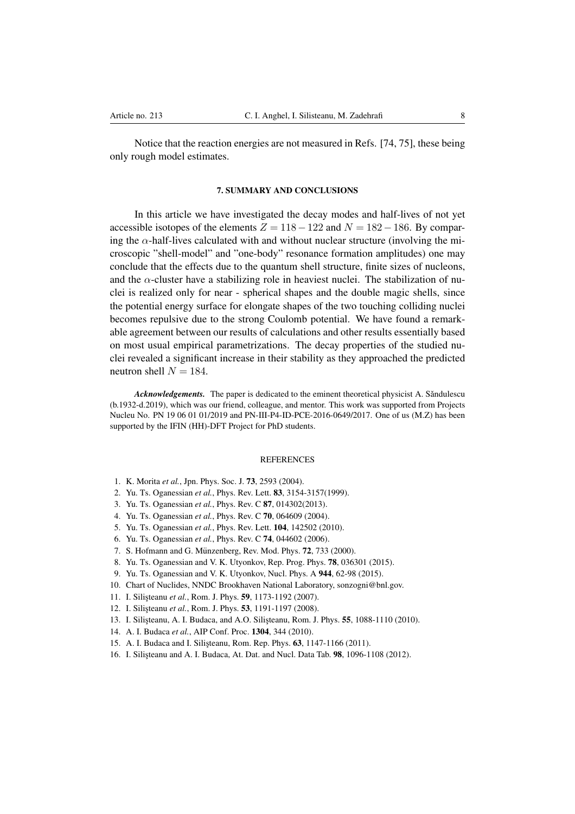Notice that the reaction energies are not measured in Refs. [74, 75], these being only rough model estimates.

### 7. SUMMARY AND CONCLUSIONS

In this article we have investigated the decay modes and half-lives of not yet accessible isotopes of the elements  $Z = 118 - 122$  and  $N = 182 - 186$ . By comparing the  $\alpha$ -half-lives calculated with and without nuclear structure (involving the microscopic "shell-model" and "one-body" resonance formation amplitudes) one may conclude that the effects due to the quantum shell structure, finite sizes of nucleons, and the  $\alpha$ -cluster have a stabilizing role in heaviest nuclei. The stabilization of nuclei is realized only for near - spherical shapes and the double magic shells, since the potential energy surface for elongate shapes of the two touching colliding nuclei becomes repulsive due to the strong Coulomb potential. We have found a remarkable agreement between our results of calculations and other results essentially based on most usual empirical parametrizations. The decay properties of the studied nuclei revealed a significant increase in their stability as they approached the predicted neutron shell  $N = 184$ .

Acknowledgements. The paper is dedicated to the eminent theoretical physicist A. Săndulescu (b.1932-d.2019), which was our friend, colleague, and mentor. This work was supported from Projects Nucleu No. PN 19 06 01 01/2019 and PN-III-P4-ID-PCE-2016-0649/2017. One of us (M.Z) has been supported by the IFIN (HH)-DFT Project for PhD students.

#### **REFERENCES**

- 1. K. Morita *et al.*, Jpn. Phys. Soc. J. 73, 2593 (2004).
- 2. Yu. Ts. Oganessian *et al.*, Phys. Rev. Lett. 83, 3154-3157(1999).
- 3. Yu. Ts. Oganessian *et al.*, Phys. Rev. C 87, 014302(2013).
- 4. Yu. Ts. Oganessian *et al.*, Phys. Rev. C 70, 064609 (2004).
- 5. Yu. Ts. Oganessian *et al.*, Phys. Rev. Lett. 104, 142502 (2010).
- 6. Yu. Ts. Oganessian *et al.*, Phys. Rev. C 74, 044602 (2006).
- 7. S. Hofmann and G. Münzenberg, Rev. Mod. Phys. **72**, 733 (2000).
- 8. Yu. Ts. Oganessian and V. K. Utyonkov, Rep. Prog. Phys. 78, 036301 (2015).
- 9. Yu. Ts. Oganessian and V. K. Utyonkov, Nucl. Phys. A 944, 62-98 (2015).
- 10. Chart of Nuclides, NNDC Brookhaven National Laboratory, sonzogni@bnl.gov.
- 11. I. Silisteanu et al., Rom. J. Phys. **59**, 1173-1192 (2007).
- 12. I. Silisteanu et al., Rom. J. Phys. **53**, 1191-1197 (2008).
- 13. I. Silisteanu, A. I. Budaca, and A.O. Silisteanu, Rom. J. Phys. 55, 1088-1110 (2010).
- 14. A. I. Budaca *et al.*, AIP Conf. Proc. 1304, 344 (2010).
- 15. A. I. Budaca and I. Silisteanu, Rom. Rep. Phys. **63**, 1147-1166 (2011).
- 16. I. Silisteanu and A. I. Budaca, At. Dat. and Nucl. Data Tab. **98**, 1096-1108 (2012).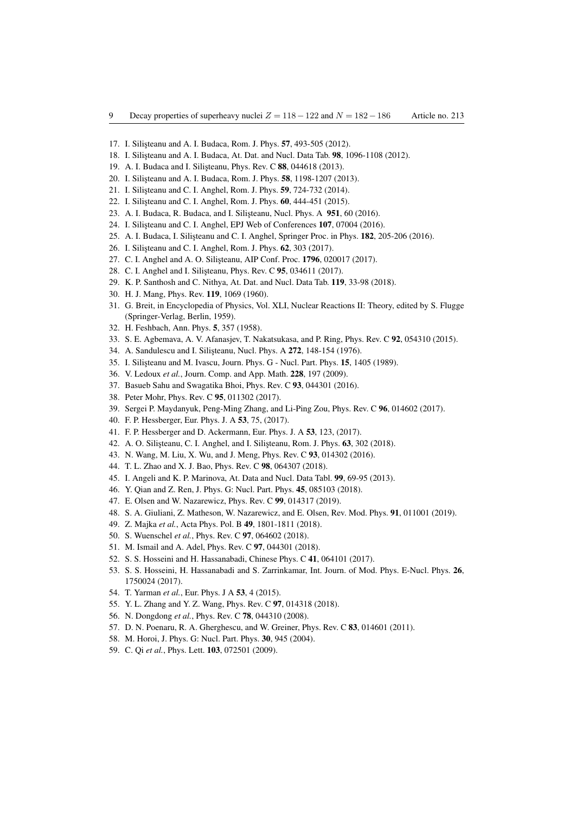- 17. I. Silisteanu and A. I. Budaca, Rom. J. Phys. 57, 493-505 (2012).
- 18. I. Silisteanu and A. I. Budaca, At. Dat. and Nucl. Data Tab. 98, 1096-1108 (2012).
- 19. A. I. Budaca and I. Silisteanu, Phys. Rev. C 88, 044618 (2013).
- 20. I. Silisteanu and A. I. Budaca, Rom. J. Phys. **58**, 1198-1207 (2013).
- 21. I. Silisteanu and C. I. Anghel, Rom. J. Phys. 59, 724-732 (2014).
- 22. I. Silișteanu and C. I. Anghel, Rom. J. Phys. 60, 444-451 (2015).
- 23. A. I. Budaca, R. Budaca, and I. Silisteanu, Nucl. Phys. A 951, 60 (2016).
- 24. I. Silisteanu and C. I. Anghel, EPJ Web of Conferences 107, 07004 (2016).
- 25. A. I. Budaca, I. Silisteanu and C. I. Anghel, Springer Proc. in Phys. 182, 205-206 (2016).
- 26. I. Silișteanu and C. I. Anghel, Rom. J. Phys. 62, 303 (2017).
- 27. C. I. Anghel and A. O. Silisteanu, AIP Conf. Proc. 1796, 020017 (2017).
- 28. C. I. Anghel and I. Silisteanu, Phys. Rev. C 95, 034611 (2017).
- 29. K. P. Santhosh and C. Nithya, At. Dat. and Nucl. Data Tab. 119, 33-98 (2018).
- 30. H. J. Mang, Phys. Rev. 119, 1069 (1960).
- 31. G. Breit, in Encyclopedia of Physics, Vol. XLI, Nuclear Reactions II: Theory, edited by S. Flugge (Springer-Verlag, Berlin, 1959).
- 32. H. Feshbach, Ann. Phys. 5, 357 (1958).
- 33. S. E. Agbemava, A. V. Afanasjev, T. Nakatsukasa, and P. Ring, Phys. Rev. C 92, 054310 (2015).
- 34. A. Sandulescu and I. Silişteanu, Nucl. Phys. A 272, 148-154 (1976).
- 35. I. Silisteanu and M. Ivascu, Journ. Phys. G Nucl. Part. Phys. 15, 1405 (1989).
- 36. V. Ledoux *et al.*, Journ. Comp. and App. Math. 228, 197 (2009).
- 37. Basueb Sahu and Swagatika Bhoi, Phys. Rev. C 93, 044301 (2016).
- 38. Peter Mohr, Phys. Rev. C 95, 011302 (2017).
- 39. Sergei P. Maydanyuk, Peng-Ming Zhang, and Li-Ping Zou, Phys. Rev. C 96, 014602 (2017).
- 40. F. P. Hessberger, Eur. Phys. J. A 53, 75, (2017).
- 41. F. P. Hessberger and D. Ackermann, Eur. Phys. J. A 53, 123, (2017).
- 42. A. O. Silişteanu, C. I. Anghel, and I. Silişteanu, Rom. J. Phys. 63, 302 (2018).
- 43. N. Wang, M. Liu, X. Wu, and J. Meng, Phys. Rev. C 93, 014302 (2016).
- 44. T. L. Zhao and X. J. Bao, Phys. Rev. C 98, 064307 (2018).
- 45. I. Angeli and K. P. Marinova, At. Data and Nucl. Data Tabl. 99, 69-95 (2013).
- 46. Y. Qian and Z. Ren, J. Phys. G: Nucl. Part. Phys. 45, 085103 (2018).
- 47. E. Olsen and W. Nazarewicz, Phys. Rev. C 99, 014317 (2019).
- 48. S. A. Giuliani, Z. Matheson, W. Nazarewicz, and E. Olsen, Rev. Mod. Phys. 91, 011001 (2019).
- 49. Z. Majka *et al.*, Acta Phys. Pol. B 49, 1801-1811 (2018).
- 50. S. Wuenschel *et al.*, Phys. Rev. C 97, 064602 (2018).
- 51. M. Ismail and A. Adel, Phys. Rev. C 97, 044301 (2018).
- 52. S. S. Hosseini and H. Hassanabadi, Chinese Phys. C 41, 064101 (2017).
- 53. S. S. Hosseini, H. Hassanabadi and S. Zarrinkamar, Int. Journ. of Mod. Phys. E-Nucl. Phys. 26, 1750024 (2017).
- 54. T. Yarman *et al.*, Eur. Phys. J A 53, 4 (2015).
- 55. Y. L. Zhang and Y. Z. Wang, Phys. Rev. C 97, 014318 (2018).
- 56. N. Dongdong *et al.*, Phys. Rev. C 78, 044310 (2008).
- 57. D. N. Poenaru, R. A. Gherghescu, and W. Greiner, Phys. Rev. C 83, 014601 (2011).
- 58. M. Horoi, J. Phys. G: Nucl. Part. Phys. 30, 945 (2004).
- 59. C. Qi *et al.*, Phys. Lett. 103, 072501 (2009).